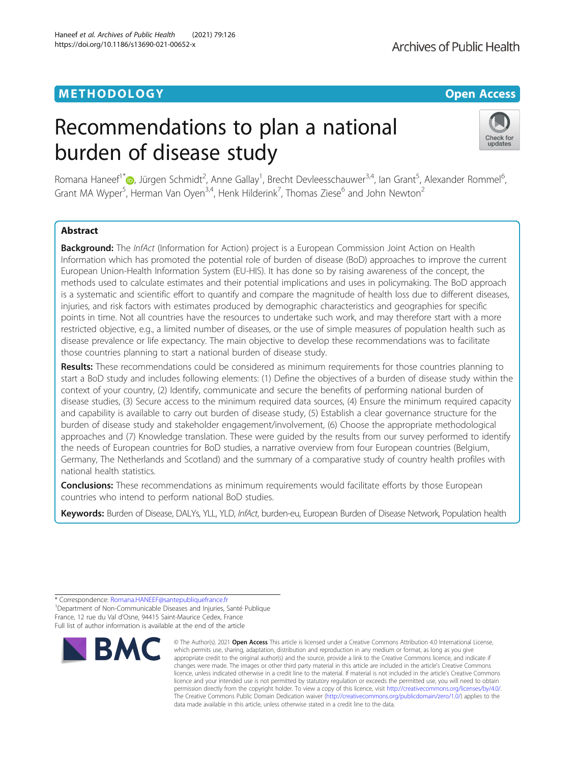# METHODOLOGY CHARGES AND THE SERVICE OPEN ACCESS

# Recommendations to plan a national burden of disease study



Romana Haneef<sup>1[\\*](http://orcid.org/0000-0001-7741-0268)</sup> D, Jürgen Schmidt<sup>2</sup>, Anne Gallay<sup>1</sup>, Brecht Devleesschauwer<sup>3,4</sup>, Ian Grant<sup>5</sup>, Alexander Rommel<sup>6</sup> י<br>, Grant MA Wyper<sup>5</sup>, Herman Van Oyen<sup>3,4</sup>, Henk Hilderink<sup>7</sup>, Thomas Ziese<sup>6</sup> and John Newton<sup>2</sup>

# Abstract

Background: The InfAct (Information for Action) project is a European Commission Joint Action on Health Information which has promoted the potential role of burden of disease (BoD) approaches to improve the current European Union-Health Information System (EU-HIS). It has done so by raising awareness of the concept, the methods used to calculate estimates and their potential implications and uses in policymaking. The BoD approach is a systematic and scientific effort to quantify and compare the magnitude of health loss due to different diseases, injuries, and risk factors with estimates produced by demographic characteristics and geographies for specific points in time. Not all countries have the resources to undertake such work, and may therefore start with a more restricted objective, e.g., a limited number of diseases, or the use of simple measures of population health such as disease prevalence or life expectancy. The main objective to develop these recommendations was to facilitate those countries planning to start a national burden of disease study.

Results: These recommendations could be considered as minimum requirements for those countries planning to start a BoD study and includes following elements: (1) Define the objectives of a burden of disease study within the context of your country, (2) Identify, communicate and secure the benefits of performing national burden of disease studies, (3) Secure access to the minimum required data sources, (4) Ensure the minimum required capacity and capability is available to carry out burden of disease study, (5) Establish a clear governance structure for the burden of disease study and stakeholder engagement/involvement, (6) Choose the appropriate methodological approaches and (7) Knowledge translation. These were guided by the results from our survey performed to identify the needs of European countries for BoD studies, a narrative overview from four European countries (Belgium, Germany, The Netherlands and Scotland) and the summary of a comparative study of country health profiles with national health statistics.

**Conclusions:** These recommendations as minimum requirements would facilitate efforts by those European countries who intend to perform national BoD studies.

Keywords: Burden of Disease, DALYs, YLL, YLD, InfAct, burden-eu, European Burden of Disease Network, Population health

<sup>1</sup> Department of Non-Communicable Diseases and Injuries, Santé Publique France, 12 rue du Val d'Osne, 94415 Saint-Maurice Cedex, France Full list of author information is available at the end of the article



<sup>©</sup> The Author(s), 2021 **Open Access** This article is licensed under a Creative Commons Attribution 4.0 International License, which permits use, sharing, adaptation, distribution and reproduction in any medium or format, as long as you give appropriate credit to the original author(s) and the source, provide a link to the Creative Commons licence, and indicate if changes were made. The images or other third party material in this article are included in the article's Creative Commons licence, unless indicated otherwise in a credit line to the material. If material is not included in the article's Creative Commons licence and your intended use is not permitted by statutory regulation or exceeds the permitted use, you will need to obtain permission directly from the copyright holder. To view a copy of this licence, visit [http://creativecommons.org/licenses/by/4.0/.](http://creativecommons.org/licenses/by/4.0/) The Creative Commons Public Domain Dedication waiver [\(http://creativecommons.org/publicdomain/zero/1.0/](http://creativecommons.org/publicdomain/zero/1.0/)) applies to the data made available in this article, unless otherwise stated in a credit line to the data.

<sup>\*</sup> Correspondence: [Romana.HANEEF@santepubliquefrance.fr](mailto:Romana.HANEEF@santepubliquefrance.fr) <sup>1</sup>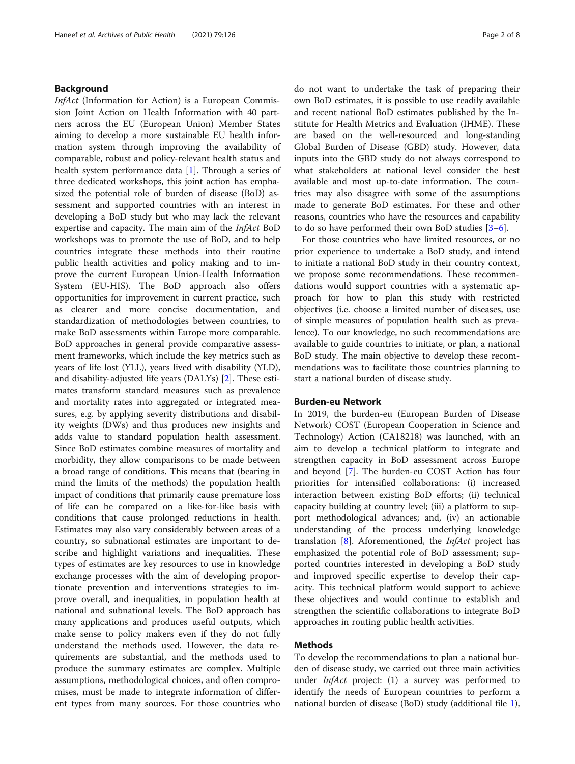# Background

InfAct (Information for Action) is a European Commission Joint Action on Health Information with 40 partners across the EU (European Union) Member States aiming to develop a more sustainable EU health information system through improving the availability of comparable, robust and policy-relevant health status and health system performance data [\[1](#page-7-0)]. Through a series of three dedicated workshops, this joint action has emphasized the potential role of burden of disease (BoD) assessment and supported countries with an interest in developing a BoD study but who may lack the relevant expertise and capacity. The main aim of the InfAct BoD workshops was to promote the use of BoD, and to help countries integrate these methods into their routine public health activities and policy making and to improve the current European Union-Health Information System (EU-HIS). The BoD approach also offers opportunities for improvement in current practice, such as clearer and more concise documentation, and standardization of methodologies between countries, to make BoD assessments within Europe more comparable. BoD approaches in general provide comparative assessment frameworks, which include the key metrics such as years of life lost (YLL), years lived with disability (YLD), and disability-adjusted life years (DALYs) [\[2](#page-7-0)]. These estimates transform standard measures such as prevalence and mortality rates into aggregated or integrated measures, e.g. by applying severity distributions and disability weights (DWs) and thus produces new insights and adds value to standard population health assessment. Since BoD estimates combine measures of mortality and morbidity, they allow comparisons to be made between a broad range of conditions. This means that (bearing in mind the limits of the methods) the population health impact of conditions that primarily cause premature loss of life can be compared on a like-for-like basis with conditions that cause prolonged reductions in health. Estimates may also vary considerably between areas of a country, so subnational estimates are important to describe and highlight variations and inequalities. These types of estimates are key resources to use in knowledge exchange processes with the aim of developing proportionate prevention and interventions strategies to improve overall, and inequalities, in population health at national and subnational levels. The BoD approach has many applications and produces useful outputs, which make sense to policy makers even if they do not fully understand the methods used. However, the data requirements are substantial, and the methods used to produce the summary estimates are complex. Multiple assumptions, methodological choices, and often compromises, must be made to integrate information of different types from many sources. For those countries who

do not want to undertake the task of preparing their own BoD estimates, it is possible to use readily available and recent national BoD estimates published by the Institute for Health Metrics and Evaluation (IHME). These are based on the well-resourced and long-standing Global Burden of Disease (GBD) study. However, data inputs into the GBD study do not always correspond to what stakeholders at national level consider the best available and most up-to-date information. The countries may also disagree with some of the assumptions made to generate BoD estimates. For these and other reasons, countries who have the resources and capability to do so have performed their own BoD studies [\[3](#page-7-0)–[6\]](#page-7-0).

For those countries who have limited resources, or no prior experience to undertake a BoD study, and intend to initiate a national BoD study in their country context, we propose some recommendations. These recommendations would support countries with a systematic approach for how to plan this study with restricted objectives (i.e. choose a limited number of diseases, use of simple measures of population health such as prevalence). To our knowledge, no such recommendations are available to guide countries to initiate, or plan, a national BoD study. The main objective to develop these recommendations was to facilitate those countries planning to start a national burden of disease study.

#### Burden-eu Network

In 2019, the burden-eu (European Burden of Disease Network) COST (European Cooperation in Science and Technology) Action (CA18218) was launched, with an aim to develop a technical platform to integrate and strengthen capacity in BoD assessment across Europe and beyond [[7\]](#page-7-0). The burden-eu COST Action has four priorities for intensified collaborations: (i) increased interaction between existing BoD efforts; (ii) technical capacity building at country level; (iii) a platform to support methodological advances; and, (iv) an actionable understanding of the process underlying knowledge translation  $[8]$  $[8]$ . Aforementioned, the *InfAct* project has emphasized the potential role of BoD assessment; supported countries interested in developing a BoD study and improved specific expertise to develop their capacity. This technical platform would support to achieve these objectives and would continue to establish and strengthen the scientific collaborations to integrate BoD approaches in routing public health activities.

#### Methods

To develop the recommendations to plan a national burden of disease study, we carried out three main activities under *InfAct* project: (1) a survey was performed to identify the needs of European countries to perform a national burden of disease (BoD) study (additional file [1](#page-6-0)),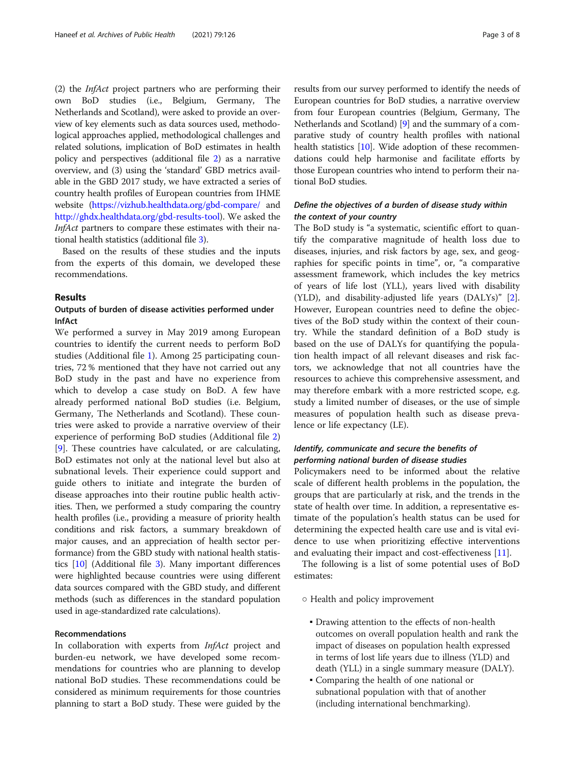(2) the InfAct project partners who are performing their own BoD studies (i.e., Belgium, Germany, The Netherlands and Scotland), were asked to provide an overview of key elements such as data sources used, methodological approaches applied, methodological challenges and related solutions, implication of BoD estimates in health policy and perspectives (additional file [2\)](#page-6-0) as a narrative overview, and (3) using the 'standard' GBD metrics available in the GBD 2017 study, we have extracted a series of country health profiles of European countries from IHME website [\(https://vizhub.healthdata.org/gbd-compare/](https://vizhub.healthdata.org/gbd-compare/) and [http://ghdx.healthdata.org/gbd-results-tool\)](http://ghdx.healthdata.org/gbd-results-tool). We asked the InfAct partners to compare these estimates with their national health statistics (additional file [3\)](#page-6-0).

Based on the results of these studies and the inputs from the experts of this domain, we developed these recommendations.

#### Results

# Outputs of burden of disease activities performed under InfAct

We performed a survey in May 2019 among European countries to identify the current needs to perform BoD studies (Additional file [1\)](#page-6-0). Among 25 participating countries, 72 % mentioned that they have not carried out any BoD study in the past and have no experience from which to develop a case study on BoD. A few have already performed national BoD studies (i.e. Belgium, Germany, The Netherlands and Scotland). These countries were asked to provide a narrative overview of their experience of performing BoD studies (Additional file [2](#page-6-0)) [[9\]](#page-7-0). These countries have calculated, or are calculating, BoD estimates not only at the national level but also at subnational levels. Their experience could support and guide others to initiate and integrate the burden of disease approaches into their routine public health activities. Then, we performed a study comparing the country health profiles (i.e., providing a measure of priority health conditions and risk factors, a summary breakdown of major causes, and an appreciation of health sector performance) from the GBD study with national health statistics [[10](#page-7-0)] (Additional file [3\)](#page-6-0). Many important differences were highlighted because countries were using different data sources compared with the GBD study, and different methods (such as differences in the standard population used in age-standardized rate calculations).

# Recommendations

In collaboration with experts from *InfAct* project and burden-eu network, we have developed some recommendations for countries who are planning to develop national BoD studies. These recommendations could be considered as minimum requirements for those countries planning to start a BoD study. These were guided by the

results from our survey performed to identify the needs of European countries for BoD studies, a narrative overview from four European countries (Belgium, Germany, The Netherlands and Scotland) [\[9\]](#page-7-0) and the summary of a comparative study of country health profiles with national health statistics [\[10](#page-7-0)]. Wide adoption of these recommendations could help harmonise and facilitate efforts by those European countries who intend to perform their national BoD studies.

# Define the objectives of a burden of disease study within the context of your country

The BoD study is "a systematic, scientific effort to quantify the comparative magnitude of health loss due to diseases, injuries, and risk factors by age, sex, and geographies for specific points in time", or, "a comparative assessment framework, which includes the key metrics of years of life lost (YLL), years lived with disability (YLD), and disability-adjusted life years (DALYs)" [\[2](#page-7-0)]. However, European countries need to define the objectives of the BoD study within the context of their country. While the standard definition of a BoD study is based on the use of DALYs for quantifying the population health impact of all relevant diseases and risk factors, we acknowledge that not all countries have the resources to achieve this comprehensive assessment, and may therefore embark with a more restricted scope, e.g. study a limited number of diseases, or the use of simple measures of population health such as disease prevalence or life expectancy (LE).

# Identify, communicate and secure the benefits of performing national burden of disease studies

Policymakers need to be informed about the relative scale of different health problems in the population, the groups that are particularly at risk, and the trends in the state of health over time. In addition, a representative estimate of the population's health status can be used for determining the expected health care use and is vital evidence to use when prioritizing effective interventions and evaluating their impact and cost-effectiveness [[11\]](#page-7-0).

The following is a list of some potential uses of BoD estimates:

- Health and policy improvement
	- Drawing attention to the effects of non-health outcomes on overall population health and rank the impact of diseases on population health expressed in terms of lost life years due to illness (YLD) and death (YLL) in a single summary measure (DALY).
	- Comparing the health of one national or subnational population with that of another (including international benchmarking).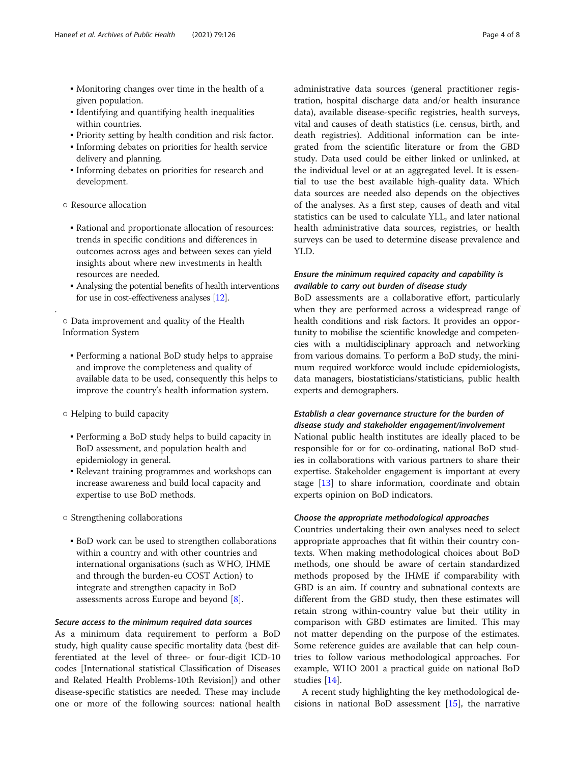- Monitoring changes over time in the health of a given population.
- Identifying and quantifying health inequalities within countries.
- Priority setting by health condition and risk factor.
- Informing debates on priorities for health service delivery and planning.
- Informing debates on priorities for research and development.
- Resource allocation

.

- Rational and proportionate allocation of resources: trends in specific conditions and differences in outcomes across ages and between sexes can yield insights about where new investments in health resources are needed.
- Analysing the potential benefits of health interventions for use in cost-effectiveness analyses [\[12\]](#page-7-0).

○ Data improvement and quality of the Health Information System

- Performing a national BoD study helps to appraise and improve the completeness and quality of available data to be used, consequently this helps to improve the country's health information system.
- Helping to build capacity
	- Performing a BoD study helps to build capacity in BoD assessment, and population health and epidemiology in general.
	- Relevant training programmes and workshops can increase awareness and build local capacity and expertise to use BoD methods.
- Strengthening collaborations
- BoD work can be used to strengthen collaborations within a country and with other countries and international organisations (such as WHO, IHME and through the burden-eu COST Action) to integrate and strengthen capacity in BoD assessments across Europe and beyond [\[8\]](#page-7-0).

# Secure access to the minimum required data sources

As a minimum data requirement to perform a BoD study, high quality cause specific mortality data (best differentiated at the level of three- or four-digit ICD-10 codes [International statistical Classification of Diseases and Related Health Problems-10th Revision]) and other disease-specific statistics are needed. These may include one or more of the following sources: national health administrative data sources (general practitioner registration, hospital discharge data and/or health insurance data), available disease-specific registries, health surveys, vital and causes of death statistics (i.e. census, birth, and death registries). Additional information can be integrated from the scientific literature or from the GBD study. Data used could be either linked or unlinked, at the individual level or at an aggregated level. It is essential to use the best available high-quality data. Which data sources are needed also depends on the objectives of the analyses. As a first step, causes of death and vital statistics can be used to calculate YLL, and later national health administrative data sources, registries, or health surveys can be used to determine disease prevalence and YLD.

# Ensure the minimum required capacity and capability is available to carry out burden of disease study

BoD assessments are a collaborative effort, particularly when they are performed across a widespread range of health conditions and risk factors. It provides an opportunity to mobilise the scientific knowledge and competencies with a multidisciplinary approach and networking from various domains. To perform a BoD study, the minimum required workforce would include epidemiologists, data managers, biostatisticians/statisticians, public health experts and demographers.

# Establish a clear governance structure for the burden of disease study and stakeholder engagement/involvement

National public health institutes are ideally placed to be responsible for or for co-ordinating, national BoD studies in collaborations with various partners to share their expertise. Stakeholder engagement is important at every stage [[13\]](#page-7-0) to share information, coordinate and obtain experts opinion on BoD indicators.

# Choose the appropriate methodological approaches

Countries undertaking their own analyses need to select appropriate approaches that fit within their country contexts. When making methodological choices about BoD methods, one should be aware of certain standardized methods proposed by the IHME if comparability with GBD is an aim. If country and subnational contexts are different from the GBD study, then these estimates will retain strong within-country value but their utility in comparison with GBD estimates are limited. This may not matter depending on the purpose of the estimates. Some reference guides are available that can help countries to follow various methodological approaches. For example, WHO 2001 a practical guide on national BoD studies [\[14\]](#page-7-0).

A recent study highlighting the key methodological decisions in national BoD assessment [\[15](#page-7-0)], the narrative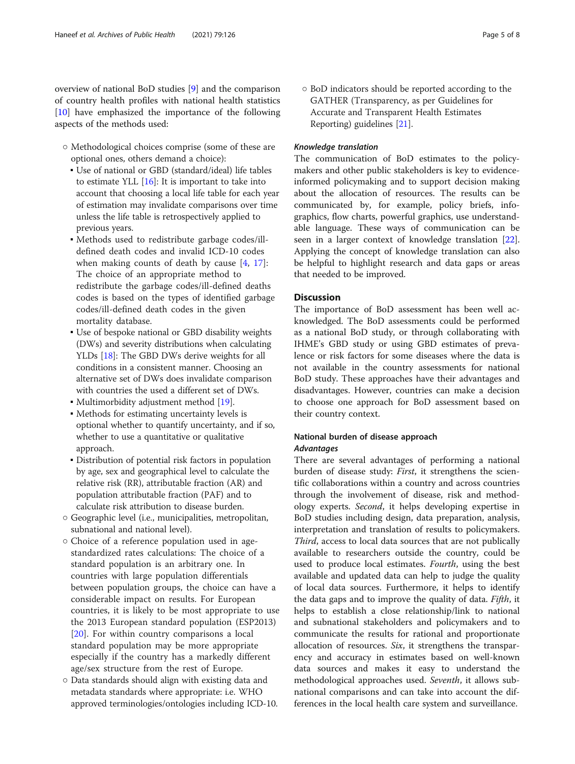overview of national BoD studies [[9\]](#page-7-0) and the comparison of country health profiles with national health statistics [[10\]](#page-7-0) have emphasized the importance of the following aspects of the methods used:

- Methodological choices comprise (some of these are optional ones, others demand a choice):
	- Use of national or GBD (standard/ideal) life tables to estimate YLL  $[16]$  $[16]$ : It is important to take into account that choosing a local life table for each year of estimation may invalidate comparisons over time unless the life table is retrospectively applied to previous years.
	- Methods used to redistribute garbage codes/illdefined death codes and invalid ICD-10 codes when making counts of death by cause [[4,](#page-7-0) [17\]](#page-7-0): The choice of an appropriate method to redistribute the garbage codes/ill-defined deaths codes is based on the types of identified garbage codes/ill-defined death codes in the given mortality database.
	- Use of bespoke national or GBD disability weights (DWs) and severity distributions when calculating YLDs [\[18\]](#page-7-0): The GBD DWs derive weights for all conditions in a consistent manner. Choosing an alternative set of DWs does invalidate comparison with countries the used a different set of DWs.
	- Multimorbidity adjustment method [\[19](#page-7-0)].
	- Methods for estimating uncertainty levels is optional whether to quantify uncertainty, and if so, whether to use a quantitative or qualitative approach.
	- Distribution of potential risk factors in population by age, sex and geographical level to calculate the relative risk (RR), attributable fraction (AR) and population attributable fraction (PAF) and to calculate risk attribution to disease burden.
- Geographic level (i.e., municipalities, metropolitan, subnational and national level).
- Choice of a reference population used in agestandardized rates calculations: The choice of a standard population is an arbitrary one. In countries with large population differentials between population groups, the choice can have a considerable impact on results. For European countries, it is likely to be most appropriate to use the 2013 European standard population (ESP2013) [[20\]](#page-7-0). For within country comparisons a local standard population may be more appropriate especially if the country has a markedly different age/sex structure from the rest of Europe.
- Data standards should align with existing data and metadata standards where appropriate: i.e. WHO approved terminologies/ontologies including ICD-10.

○ BoD indicators should be reported according to the GATHER (Transparency, as per Guidelines for Accurate and Transparent Health Estimates Reporting) guidelines [\[21\]](#page-7-0).

# Knowledge translation

The communication of BoD estimates to the policymakers and other public stakeholders is key to evidenceinformed policymaking and to support decision making about the allocation of resources. The results can be communicated by, for example, policy briefs, infographics, flow charts, powerful graphics, use understandable language. These ways of communication can be seen in a larger context of knowledge translation [\[22](#page-7-0)]. Applying the concept of knowledge translation can also be helpful to highlight research and data gaps or areas that needed to be improved.

# **Discussion**

The importance of BoD assessment has been well acknowledged. The BoD assessments could be performed as a national BoD study, or through collaborating with IHME's GBD study or using GBD estimates of prevalence or risk factors for some diseases where the data is not available in the country assessments for national BoD study. These approaches have their advantages and disadvantages. However, countries can make a decision to choose one approach for BoD assessment based on their country context.

# National burden of disease approach Advantages

There are several advantages of performing a national burden of disease study: First, it strengthens the scientific collaborations within a country and across countries through the involvement of disease, risk and methodology experts. Second, it helps developing expertise in BoD studies including design, data preparation, analysis, interpretation and translation of results to policymakers. Third, access to local data sources that are not publically available to researchers outside the country, could be used to produce local estimates. Fourth, using the best available and updated data can help to judge the quality of local data sources. Furthermore, it helps to identify the data gaps and to improve the quality of data. Fifth, it helps to establish a close relationship/link to national and subnational stakeholders and policymakers and to communicate the results for rational and proportionate allocation of resources. Six, it strengthens the transparency and accuracy in estimates based on well-known data sources and makes it easy to understand the methodological approaches used. Seventh, it allows subnational comparisons and can take into account the differences in the local health care system and surveillance.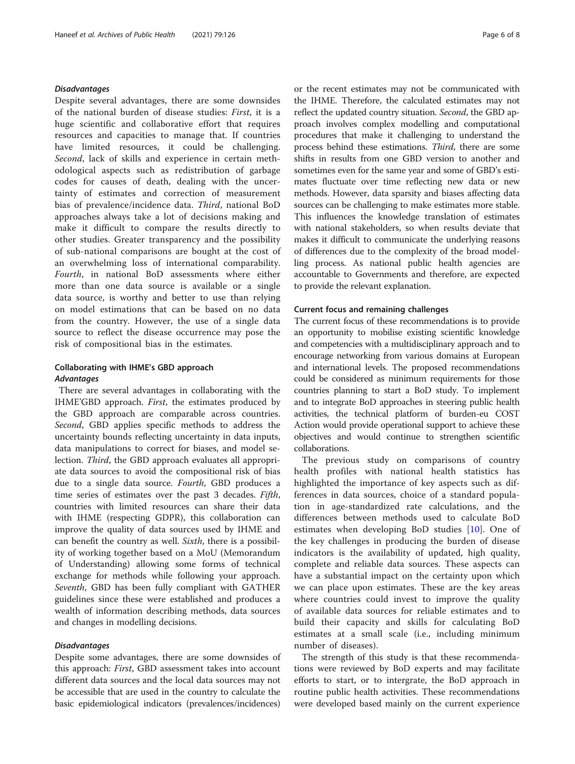#### Disadvantages

Despite several advantages, there are some downsides of the national burden of disease studies: First, it is a huge scientific and collaborative effort that requires resources and capacities to manage that. If countries have limited resources, it could be challenging. Second, lack of skills and experience in certain methodological aspects such as redistribution of garbage codes for causes of death, dealing with the uncertainty of estimates and correction of measurement bias of prevalence/incidence data. Third, national BoD approaches always take a lot of decisions making and make it difficult to compare the results directly to other studies. Greater transparency and the possibility of sub-national comparisons are bought at the cost of an overwhelming loss of international comparability. Fourth, in national BoD assessments where either more than one data source is available or a single data source, is worthy and better to use than relying on model estimations that can be based on no data from the country. However, the use of a single data source to reflect the disease occurrence may pose the risk of compositional bias in the estimates.

# Collaborating with IHME's GBD approach Advantages

There are several advantages in collaborating with the IHME'GBD approach. First, the estimates produced by the GBD approach are comparable across countries. Second, GBD applies specific methods to address the uncertainty bounds reflecting uncertainty in data inputs, data manipulations to correct for biases, and model selection. Third, the GBD approach evaluates all appropriate data sources to avoid the compositional risk of bias due to a single data source. Fourth, GBD produces a time series of estimates over the past 3 decades. Fifth, countries with limited resources can share their data with IHME (respecting GDPR), this collaboration can improve the quality of data sources used by IHME and can benefit the country as well. Sixth, there is a possibility of working together based on a MoU (Memorandum of Understanding) allowing some forms of technical exchange for methods while following your approach. Seventh, GBD has been fully compliant with GATHER guidelines since these were established and produces a wealth of information describing methods, data sources and changes in modelling decisions.

# Disadvantages

Despite some advantages, there are some downsides of this approach: First, GBD assessment takes into account different data sources and the local data sources may not be accessible that are used in the country to calculate the basic epidemiological indicators (prevalences/incidences)

or the recent estimates may not be communicated with the IHME. Therefore, the calculated estimates may not reflect the updated country situation. Second, the GBD approach involves complex modelling and computational procedures that make it challenging to understand the process behind these estimations. Third, there are some shifts in results from one GBD version to another and sometimes even for the same year and some of GBD's estimates fluctuate over time reflecting new data or new methods. However, data sparsity and biases affecting data sources can be challenging to make estimates more stable. This influences the knowledge translation of estimates with national stakeholders, so when results deviate that makes it difficult to communicate the underlying reasons of differences due to the complexity of the broad modelling process. As national public health agencies are accountable to Governments and therefore, are expected to provide the relevant explanation.

#### Current focus and remaining challenges

The current focus of these recommendations is to provide an opportunity to mobilise existing scientific knowledge and competencies with a multidisciplinary approach and to encourage networking from various domains at European and international levels. The proposed recommendations could be considered as minimum requirements for those countries planning to start a BoD study. To implement and to integrate BoD approaches in steering public health activities, the technical platform of burden-eu COST Action would provide operational support to achieve these objectives and would continue to strengthen scientific collaborations.

The previous study on comparisons of country health profiles with national health statistics has highlighted the importance of key aspects such as differences in data sources, choice of a standard population in age-standardized rate calculations, and the differences between methods used to calculate BoD estimates when developing BoD studies [[10\]](#page-7-0). One of the key challenges in producing the burden of disease indicators is the availability of updated, high quality, complete and reliable data sources. These aspects can have a substantial impact on the certainty upon which we can place upon estimates. These are the key areas where countries could invest to improve the quality of available data sources for reliable estimates and to build their capacity and skills for calculating BoD estimates at a small scale (i.e., including minimum number of diseases).

The strength of this study is that these recommendations were reviewed by BoD experts and may facilitate efforts to start, or to intergrate, the BoD approach in routine public health activities. These recommendations were developed based mainly on the current experience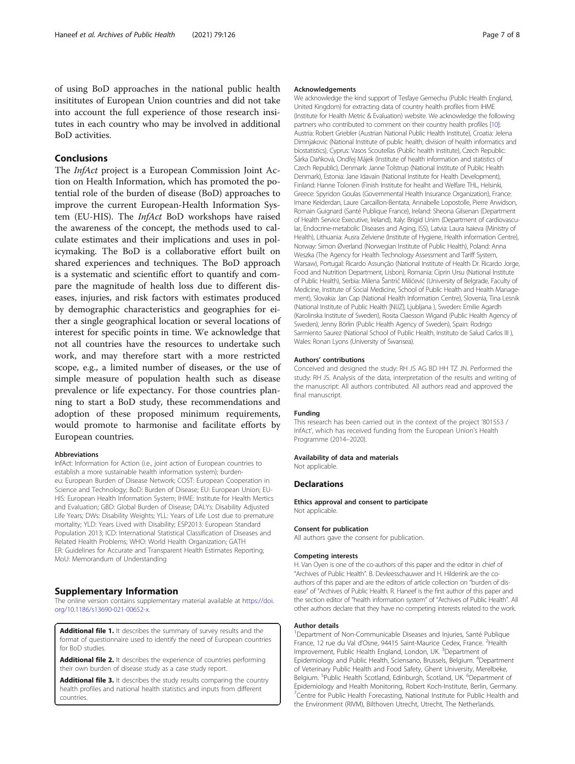<span id="page-6-0"></span>of using BoD approaches in the national public health insititutes of European Union countries and did not take into account the full experience of those research insitutes in each country who may be involved in additional BoD activities.

# Conclusions

The InfAct project is a European Commission Joint Action on Health Information, which has promoted the potential role of the burden of disease (BoD) approaches to improve the current European-Health Information System (EU-HIS). The InfAct BoD workshops have raised the awareness of the concept, the methods used to calculate estimates and their implications and uses in policymaking. The BoD is a collaborative effort built on shared experiences and techniques. The BoD approach is a systematic and scientific effort to quantify and compare the magnitude of health loss due to different diseases, injuries, and risk factors with estimates produced by demographic characteristics and geographies for either a single geographical location or several locations of interest for specific points in time. We acknowledge that not all countries have the resources to undertake such work, and may therefore start with a more restricted scope, e.g., a limited number of diseases, or the use of simple measure of population health such as disease prevalence or life expectancy. For those countries planning to start a BoD study, these recommendations and adoption of these proposed minimum requirements, would promote to harmonise and facilitate efforts by European countries.

#### Abbreviations

InfAct: Information for Action (i.e., joint action of European countries to establish a more sustainable health information system); burdeneu: European Burden of Disease Network; COST: European Cooperation in Science and Technology; BoD: Burden of Disease; EU: European Union; EU-HIS: European Health Information System; IHME: Institute for Health Mertics and Evaluation; GBD: Global Burden of Disease; DALYs: Disability Adjusted Life Years; DWs: Disability Weights; YLL: Years of Life Lost due to premature mortality; YLD: Years Lived with Disability; ESP2013: European Standard Population 2013; ICD: International Statistical Classification of Diseases and Related Health Problems; WHO: World Health Organization; GATH ER: Guidelines for Accurate and Transparent Health Estimates Reporting; MoU: Memorandum of Understanding

#### Supplementary Information

The online version contains supplementary material available at [https://doi.](https://doi.org/10.1186/s13690-021-00652-x) [org/10.1186/s13690-021-00652-x](https://doi.org/10.1186/s13690-021-00652-x).

Additional file 1. It describes the summary of survey results and the format of questionnaire used to identify the need of European countries for BoD studies.

Additional file 2. It describes the experience of countries performing their own burden of disease study as a case study report.

Additional file 3. It describes the study results comparing the country health profiles and national health statistics and inputs from different countries.

#### Acknowledgements

We acknowledge the kind support of Tesfaye Gemechu (Public Health England, United Kingdom) for extracting data of country health profiles from IHME (Institute for Health Metric & Evaluation) website. We acknowledge the following partners who contributed to comment on their country health profiles [\[10\]](#page-7-0): Austria: Robert Griebler (Austrian National Public Health Institute), Croatia: Jelena Dimnjakovic (National Institute of public health, division of health informatics and biostatistics), Cyprus: Vasos Scoutellas (Public health institute), Czech Republic: Šárka Daňková, Ondřej Májek (Institute of health information and statistics of Czech Republic), Denmark: Janne Tolstrup (National Institute of Public Health Denmark), Estonia: Jane Idavain (National Institute for Health Development), Finland: Hanne Tolonen (Finish Institute for healht and Welfare THL, Helsinki, Greece: Spyridon Goulas (Governmental Health Insurance Organization), France: Imane Keiderdan, Laure Carcaillon-Bentata, Annabelle Lopostolle, Pierre Arwidson, Romain Guignard (Santé Publique France), Ireland: Sheona Gilsenan (Department of Health Service Executive, Ireland), Italy: Brigid Unim (Department of cardiovascular, Endocrine-metabolic Diseases and Aging, ISS), Latvia: Laura Isaieva (Ministry of Health), Lithuania: Ausra Zelviene (Institute of Hygiene, Health information Centre), Norway: Simon Øverland (Norwegian Institute of Public Health), Poland: Anna Weszka (The Agency for Health Technology Assessment and Tariff System, Warsaw), Portugal: Ricardo Assunção (National Institute of Health Dr. Ricardo Jorge, Food and Nutrition Department, Lisbon), Romania: Ciprin Ursu (National Institute of Public Health), Serbia: Milena Šantrić Milićević (University of Belgrade, Faculty of Medicine, Institute of Social Medicine, School of Public Health and Health Management), Slovakia: Jan Cap (National Health Information Centre), Slovenia, Tina Lesnik (National Institute of Public Health [NIJZ], Ljubljana ), Sweden: Emilie Agardh (Karolinska Institute of Sweden), Rosita Claesson Wigand (Public Health Agency of Sweden), Jenny Börlin (Public Health Agency of Sweden), Spain: Rodrigo Sarmiento Saurez (National School of Public Health, Instituto de Salud Carlos III ), Wales: Ronan Lyons (University of Swansea).

#### Authors' contributions

Conceived and designed the study: RH JS AG BD HH TZ JN. Performed the study: RH JS. Analysis of the data, interpretation of the results and writing of the manuscript: All authors contributed. All authors read and approved the final manuscript.

#### Funding

This research has been carried out in the context of the project '801553 / InfAct', which has received funding from the European Union's Health Programme (2014–2020).

#### Availability of data and materials

Not applicable.

#### **Declarations**

Ethics approval and consent to participate Not applicable.

#### Consent for publication

All authors gave the consent for publication.

#### Competing interests

H. Van Oyen is one of the co-authors of this paper and the editor in chief of "Archives of Public Health". B. Devleesschauwer and H. Hilderink are the coauthors of this paper and are the editors of article collection on "burden of disease" of "Archives of Public Health. R. Haneef is the first author of this paper and the section editor of "health information system" of "Archives of Public Health". All other authors declare that they have no competing interests related to the work.

#### Author details

<sup>1</sup>Department of Non-Communicable Diseases and Injuries, Santé Publique France, 12 rue du Val d'Osne, 94415 Saint-Maurice Cedex, France. <sup>2</sup>Health Improvement, Public Health England, London, UK. <sup>3</sup>Department of Epidemiology and Public Health, Sciensano, Brussels, Belgium. <sup>4</sup>Department of Veterinary Public Health and Food Safety, Ghent University, Merelbeke, Belgium. <sup>5</sup>Public Health Scotland, Edinburgh, Scotland, UK. <sup>6</sup>Department of Epidemiology and Health Monitoring, Robert Koch-Institute, Berlin, Germany. <sup>7</sup> Centre for Public Health Forecasting, National Institute for Public Health and the Environment (RIVM), Bilthoven Utrecht, Utrecht, The Netherlands.